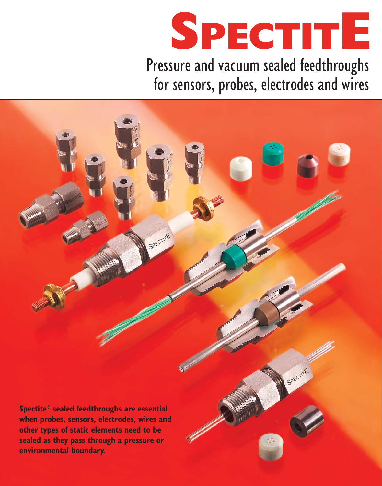

Pressure and vacuum sealed feedthroughs for sensors, probes, electrodes and wires

SPECTITE SPECTITE **Spectite® sealed feedthroughs are essential when probes, sensors, electrodes, wires and other types of static elements need to be sealed as they pass through a pressure or environmental boundary.**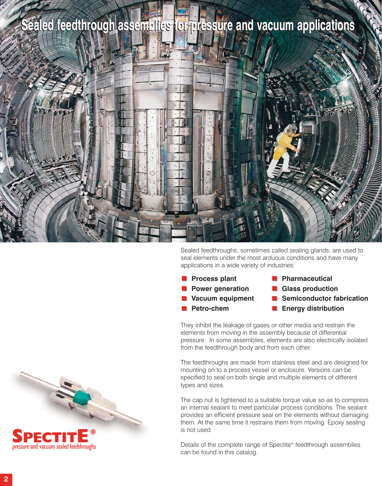## **Sealed feedthrough assemblies for pressure and vacuum applications Sealed feedthrough assemblies for pressure and vacuum applications**



Sealed feedthroughs, sometimes called sealing glands, are used to seal elements under the most arduous conditions and have many applications in a wide variety of industries:

**Process plant** 

**Petro-chem** 

**Power generation** 

**Vacuum equipment** 

- **Pharmaceutical Glass production**
- **Semiconductor fabrication**
- **Energy distribution**

They inhibit the leakage of gases or other media and restrain the elements from moving in the assembly because of differential pressure. In some assemblies, elements are also electrically isolated from the feedthrough body and from each other.

The feedthroughs are made from stainless steel and are designed for mounting on to a process vessel or enclosure. Versions can be specified to seal on both single and multiple elements of different types and sizes.

The cap nut is tightened to a suitable torque value so as to compress an internal sealant to meet particular process conditions. The sealant provides an efficient pressure seal on the elements without damaging them. At the same time it restrains them from moving. Epoxy sealing is not used.

Details of the complete range of Spectite® feedthrough assemblies can be found in this catalog.



**SPECTITE**®

**®**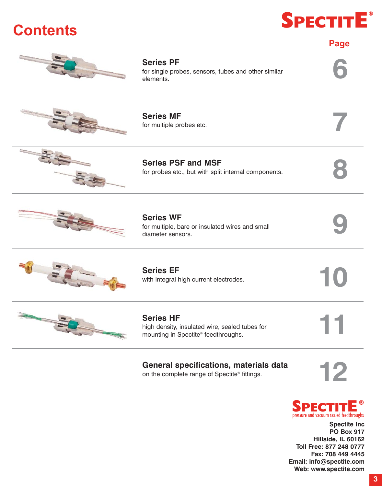## **Series PF** for single probes, sensors, tubes and other similar Series PF<br>for single probes, sensors, tubes and other similar<br>elements. **Series MF Series MF**<br>for multiple probes etc. **Series PSF and MSF**<br>for probes etc., but with split internal components. for probes etc., but with split internal components. **Series WF** Series WF<br>for multiple, bare or insulated wires and small<br>diameter sensors. **Page**







**Series EF**

**11 Series HF** high density, insulated wire, sealed tubes for mounting in Spectite® feedthroughs.

### General specifications, materials data on the complete range of Spectite® fittings. on the complete range of Spectite® fittings.





**Spectite Inc PO Box 917 Hillside, IL 60162 Toll Free: 877 248 0777 Fax: 708 449 4445 Email: info@spectite.com Web: www.spectite.com**



Series EF<br>with integral high current electrodes.







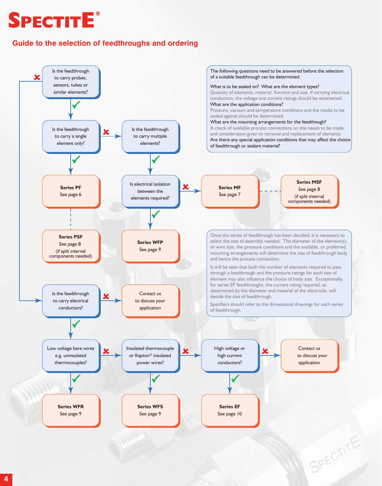## **SPECTITE ®**

### **Guide to the selection of feedthroughs and ordering**

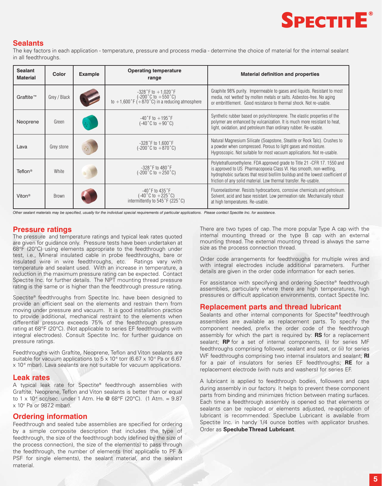

### **Sealants**

The key factors in each application - temperature, pressure and process media - determine the choice of material for the internal sealant in all feedthroughs.

| <b>Sealant</b><br><b>Material</b> | Color        | <b>Example</b> | <b>Operating temperature</b><br>range                                                                                                                         | <b>Material definition and properties</b>                                                                                                                                                                                                                                                             |
|-----------------------------------|--------------|----------------|---------------------------------------------------------------------------------------------------------------------------------------------------------------|-------------------------------------------------------------------------------------------------------------------------------------------------------------------------------------------------------------------------------------------------------------------------------------------------------|
| Graftite™                         | Grey / Black |                | $-328$ $\degree$ F to $+1,020 \degree$ F<br>$(-200^{\circ}C \text{ to } +550^{\circ}C)$<br>to +1,600 $^{\circ}F$ (+870 $^{\circ}C$ ) in a reducing atmosphere | Graphite 98% purity. Impermeable to gases and liquids. Resistant to most<br>media, not 'wetted' by molten metals or salts. Asbestos-free. No aging<br>or embrittlement. Good resistance to thermal shock. Not re-usable.                                                                              |
| Neoprene                          | Green        |                | $-40$ °F to $+195$ °F<br>$(-40\degree C \text{ to } +90\degree C)$                                                                                            | Synthetic rubber based on polychloroprene. The elastic properties of the<br>polymer are enhanced by vulcanization. It is much more resistant to heat,<br>light, oxidation, and petroleum than ordinary rubber. Re-usable.                                                                             |
| Lava                              | Grey stone   | 48             | $-328$ $\degree$ F to 1,600 $\degree$ F<br>$(-200\degree C \text{ to } +870\degree C)$                                                                        | Natural Magnesium Silicate (Soapstone, Steatite or Rock Talc). Crushes to<br>a powder when compressed. Porous to light gases and moisture.<br>Hygroscopic. Not suitable for most vacuum applications. Not re-usable.                                                                                  |
| Teflon <sup>®</sup>               | White        |                | $-328°$ F to 480 $°$ F<br>(-200 $^{\circ}$ C to $+250^{\circ}$ C)                                                                                             | Polytetrafluoroethylene. FDA approved grade to Title 21 -CFR 17. 1550 and<br>is approved to US Pharmacopoeia Class VI. Has smooth, non-wetting,<br>hydrophobic surfaces that resist biofilm buildup and the lowest coefficient of<br>friction of any solid material. Low thermal transfer. Re-usable. |
| Viton <sup>®</sup>                | <b>Brown</b> |                | $-40$ °F to $435$ °F<br>$(-40\degree C \text{ to } +225\degree C)$<br>intermittently to 545°F (225°C)                                                         | Fluoroelastomer. Resists hydrocarbons, corrosive chemicals and petroleum.<br>Solvent, acid and base resistant. Low permeation rate. Mechanically robust<br>at high temperatures. Re-usable.                                                                                                           |

*Other sealant materials may be specified, usually for the individual special requirements of particular applications. Please contact Spectite Inc. for assistance.*

### **Pressure ratings**

The pressure and temperature ratings and typical leak rates quoted are given for guidance only. Pressure tests have been undertaken at 68°F (20°C) using elements appropriate to the feedthrough under test, i.e., Mineral insulated cable in probe feedthroughs, bare or insulated wire in wire feedthroughs, etc. Ratings vary with temperature and sealant used. With an increase in temperature, a reduction in the maximum pressure rating can be expected. Contact Spectite Inc. for further details. The NPT mounting thread pressure rating is the same or is higher than the feedthrough pressure rating.

Spectite® feedthroughs from Spectite Inc. have been designed to provide an efficient seal on the elements and restrain them from moving under pressure and vacuum. It is good installation practice to provide additional, mechanical restraint to the elements when differential pressure exceeds 75% of the feedthrough pressure rating at 68°F (20°C). (Not applicable to series EF feedthroughs with integral electrodes). Consult Spectite Inc. for further guidance on pressure ratings.

Feedthroughs with Graftite, Neoprene, Teflon and Viton sealants are suitable for vacuum applications to  $5 \times 10^6$  torr (6.67 x 10<sup>4</sup> Pa or 6.67  $x$  10 $<sup>6</sup>$  mbar). Lava sealants are not suitable for vacuum applications.</sup>

### **Leak rates**

A typical leak rate for Spectite® feedthrough assemblies with Graftite, Neoprene, Teflon and Viton sealants is better than or equal to 1 x 10<sup> $\textdegree$ </sup> scc/sec. under 1 Atm. He @ 68°F (20°C). (1 Atm. = 9.87  $\times$  10<sup>4</sup> Pa or 9872 mbar).

### **Ordering information**

Feedthrough and sealed tube assemblies are specified for ordering by a simple composite description that includes the type of feedthrough, the size of the feedthrough body (defined by the size of the process connection), the size of the element(s) to pass through the feedthrough, the number of elements (not applicable to PF & PSF for single elements), the sealant material, and the sealant material.

There are two types of cap. The more popular Type A cap with the internal mounting thread or the type B cap with an external mounting thread. The external mounting thread is always the same size as the process connection thread.

Order code arrangements for feedthroughs for multiple wires and with integral electrodes include additional parameters. Further details are given in the order code information for each series.

For assistance with specifying and ordering Spectite® feedthrough assemblies, particularly where there are high temperatures, high pressures or difficult application environments, contact Spectite Inc.

### **Replacement parts and thread lubricant**

Sealants and other internal components for Spectite® feedthrough assemblies are available as replacement parts. To specify the component needed, prefix the order code of the feedthrough assembly for which the part is required by: **RS** for a replacement sealant; **RP** for a set of internal components, (i) for series MF feedthroughs comprising follower, sealant and seat, or (ii) for series WF feedthroughs comprising two internal insulators and sealant; **RI** for a pair of insulators for series EF feedthroughs; **RE** for a replacement electrode (with nuts and washers) for series EF.

A lubricant is applied to feedthrough bodies, followers and caps during assembly in our factory. It helps to prevent these component parts from binding and minimizes friction between mating surfaces. Each time a feedthrough assembly is opened so that elements or sealants can be replaced or elements adjusted, re-application of lubricant is recommended. Speclube Lubricant is available from Spectite Inc. in handy 1/4 ounce bottles with applicator brushes. Order as **Speclube Thread Lubricant**.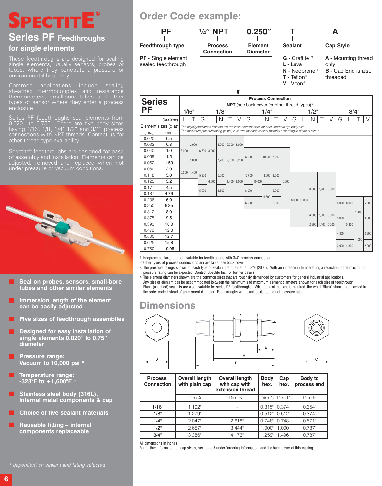## **SPECTITE ®**

### **Series PF Feedthroughs for single elements**

These feedthroughs are designed for sealing single elements, usually sensors, probes or tubes, where they penetrate a pressure or environmental boundary.

Common applications include sealing thermometers, small-bore tubes and other types of sensor where they enter a process enclosure.

Series PF feedthroughs seal elements from 0.020" to 0.75". There are five body sizes having 1/16", 1/8", 1/4", 1/2" and 3/4" process connections with NPT threads. Contact us for other thread type availability.

Spectite® feedthroughs are designed for ease of assembly and installation. Elements can be adjusted, removed and replaced when not



- **B** Seal on probes, sensors, small-bore **tubes and other similar elements**
- **Immersion length of the element can be easily adjusted**
- **Five sizes of feedthrough assemblies**
- **Designed for easy installation of single elements 0.020" to 0.75" diameter**
- **Pressure range: Vacuum to 10,000 psi \***
- **Temperature range: -328°F to +1,600°F \***
- **Stainless steel body (316L), internal metal components & cap**
- **Choice of five sealant materials**
- **Reusable fitting internal components replaceable**

## **Order Code example:**



| <b>Series</b>                    |                 |       |                 |             |                                                                                            |       |                         |               |        |        |       |              | <b>Process Connection</b> |   |                                                                                                                 |       |                   |       |                 |       |       |       |
|----------------------------------|-----------------|-------|-----------------|-------------|--------------------------------------------------------------------------------------------|-------|-------------------------|---------------|--------|--------|-------|--------------|---------------------------|---|-----------------------------------------------------------------------------------------------------------------|-------|-------------------|-------|-----------------|-------|-------|-------|
|                                  |                 |       |                 |             |                                                                                            |       |                         |               |        |        |       |              |                           |   | NPT (see back cover for other thread types) <sup>2</sup>                                                        |       |                   |       |                 |       |       |       |
| <b>PF</b>                        |                 |       | 1/16"           |             |                                                                                            | 1/8"  |                         |               |        |        | 1/4"  |              |                           |   |                                                                                                                 | 1/2"  |                   |       |                 |       | 3/4"  |       |
|                                  | <b>Sealants</b> |       |                 | G           |                                                                                            |       |                         |               | G      |        |       |              |                           | G |                                                                                                                 | N     |                   | V     | G               |       |       | V     |
| Element sizes (dia) <sup>4</sup> |                 |       |                 |             | The highlighted areas indicate the available element sizes for each feedthrough body size. |       |                         |               |        |        |       |              |                           |   |                                                                                                                 |       |                   |       |                 |       |       |       |
| (ins.)                           | mm              |       |                 |             |                                                                                            |       |                         |               |        |        |       |              |                           |   | The maximum pressure rating (in psi) is shown for each sealant material according to element size. <sup>3</sup> |       |                   |       |                 |       |       |       |
| 0.020                            | 0.5             |       |                 |             |                                                                                            |       |                         |               |        |        |       |              |                           |   |                                                                                                                 |       |                   |       |                 |       |       |       |
| 0.032                            | 0.8             |       | 2.900           |             |                                                                                            |       | $5,000$   2,900   5,000 |               |        |        |       |              |                           |   |                                                                                                                 |       |                   |       |                 |       |       |       |
| 0.040                            | 1.0             | 8.000 |                 | 6,500 8,000 |                                                                                            |       |                         |               |        |        |       |              |                           |   |                                                                                                                 |       |                   |       |                 |       |       |       |
| 0.059                            | 1.5             |       | 2.000           |             |                                                                                            |       |                         |               | 8.000  |        |       | 10,000 7,200 |                           |   |                                                                                                                 |       |                   |       |                 |       |       |       |
| 0.062                            | 1.59            |       |                 |             |                                                                                            |       | 7,200 2,000 7,200       |               |        |        |       |              |                           |   |                                                                                                                 |       |                   |       |                 |       |       |       |
| 0.080                            | 2.0             |       | $6,500$   1,400 |             |                                                                                            |       |                         |               |        |        |       |              |                           |   |                                                                                                                 |       |                   |       |                 |       |       |       |
| 0.118                            | 3.0             |       |                 | 5.800       |                                                                                            | 5.000 |                         |               | 10.000 |        |       | 8,000 3,600  |                           |   |                                                                                                                 |       |                   |       |                 |       |       |       |
| 0.125                            | 3.2             |       |                 |             | 6,500                                                                                      |       |                         | $1,400$ 8,000 |        | 10,000 |       |              | 10,000                    |   |                                                                                                                 |       |                   |       |                 |       |       |       |
| 0.177                            | 4.5             |       |                 | 5.000       |                                                                                            | 3.600 |                         |               | 8.000  |        |       | 2.900        |                           |   |                                                                                                                 |       | $8.000$   2.900   | 8.000 |                 |       |       |       |
| 0.187                            | 4.76            |       |                 |             |                                                                                            |       |                         |               |        |        | 6,500 |              |                           |   |                                                                                                                 |       |                   |       |                 |       |       |       |
| 0.236                            | 6.0             |       |                 |             |                                                                                            |       |                         |               | 6,500  |        |       | 2,000        |                           |   | 8,000 10,000                                                                                                    |       |                   |       | $8,000$ $8,000$ |       |       | 5,800 |
| 0.250                            | 6.35            |       |                 |             |                                                                                            |       |                         |               |        |        |       |              |                           |   |                                                                                                                 |       |                   |       |                 |       |       |       |
| 0.312                            | 8.0             |       |                 |             |                                                                                            |       |                         |               |        |        |       |              |                           |   |                                                                                                                 |       | 4,300 2,000 6,500 |       |                 |       | 1.400 |       |
| 0.375                            | 9.5             |       |                 |             |                                                                                            |       |                         |               |        |        |       |              |                           |   |                                                                                                                 |       |                   |       | 5.000           |       |       | 3,600 |
| 0.393                            | 10.0            |       |                 |             |                                                                                            |       |                         |               |        |        |       |              |                           |   |                                                                                                                 | 2.900 | 1.400             | 5.000 |                 | 5.800 |       |       |
| 0.472                            | 12.0            |       |                 |             |                                                                                            |       |                         |               |        |        |       |              |                           |   |                                                                                                                 |       |                   |       | 4,300           |       |       | 2,900 |
| 0.500                            | 12.7            |       |                 |             |                                                                                            |       |                         |               |        |        |       |              |                           |   |                                                                                                                 |       |                   |       |                 |       | 1.000 |       |
| 0.625                            | 15.8            |       |                 |             |                                                                                            |       |                         |               |        |        |       |              |                           |   |                                                                                                                 |       |                   |       | $2,900$ 4,300   |       |       | 2,000 |
| 0.750                            | 19.05           |       |                 |             |                                                                                            |       |                         |               |        |        |       |              |                           |   |                                                                                                                 |       |                   |       |                 |       |       |       |
|                                  |                 |       |                 |             |                                                                                            |       |                         |               |        |        |       |              |                           |   |                                                                                                                 |       |                   |       |                 |       |       |       |

1 Neoprene sealants are not available for feedthroughs with 3/4" process connection

- 2 Other types of process connections are available, see back cover
- 3 The pressure ratings shown for each type of sealant are qualified at 68°F (20°C). With an increase in temperature, a reduction in the maximum pressure rating can be expected. Contact Spectite Inc. for further details.
- 4 The element diameters shown are the common sizes that are routinely demanded by customers for general industrial applications. Any size of element can be accommodated between the minimum and maximum element diameters shown for each size of feedthrough. Blank (undrilled) sealants are also available for series PF feedthroughs. When a blank sealant is required, the word 'Blank' should be inserted in the order code instead of an element diameter. Feedthroughs with blank sealants are not pressure rated.

### **Dimensions**



| <b>Process</b><br><b>Connection</b> | <b>Overall length</b><br>with plain cap | <b>Overall length</b><br>with cap with<br>extension thread | <b>Body</b><br>hex. | Cap<br>hex. | Body to<br>process end |
|-------------------------------------|-----------------------------------------|------------------------------------------------------------|---------------------|-------------|------------------------|
|                                     | Dim A                                   | Dim B                                                      | Dim C               | Dim D       | Dim E                  |
| 1/16"                               | $1.102$ "                               |                                                            | 0.315"              | $0.374$ "   | 0.354"                 |
| 1/8"                                | 1.279"                                  |                                                            | 0.512"              | 0.512"      | $0.374$ "              |
| 1/4"                                | 2.047"                                  | 2.618"                                                     | $0.748$ "           | $0.748$ "   | 0.571"                 |
| $1/2$ "                             | 2.657"                                  | 3.444"                                                     | 1.000"              | 1.000"      | $0.787$ "              |
| 3/4"                                | $3.386$ "                               | 4.173"                                                     | 1.259"              | 1.496"      | $0.787$ "              |

All dimensions in inches.

For further information on cap styles, see page 5 under 'ordering information' and the back cover of this catalog.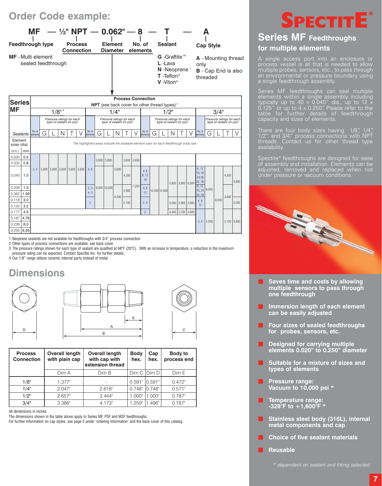## **Order Code example:**



|                        |                    |   |       | Pressure ratings for each<br>type of sealant (in psi) <sup>3</sup> |       |                    |   | Pressure ratings for each<br>type of sealant (in psi) <sup>3</sup> |               |                       |                        |   | Pressure ratings for each<br>type of sealant (in psi) <sup>3</sup> |   |               |                         |                                    |                                                                                                                                       |                 | Pressure ratings for each<br>type of sealant (in psi) <sup>3</sup> |               |
|------------------------|--------------------|---|-------|--------------------------------------------------------------------|-------|--------------------|---|--------------------------------------------------------------------|---------------|-----------------------|------------------------|---|--------------------------------------------------------------------|---|---------------|-------------------------|------------------------------------|---------------------------------------------------------------------------------------------------------------------------------------|-----------------|--------------------------------------------------------------------|---------------|
| Sealants               | No. of<br>elements | G | Ν     |                                                                    |       | No. of<br>elements | G |                                                                    | N             |                       | No. of<br>elements     | G |                                                                    | N |               | V                       | No. of<br>elements                 | G                                                                                                                                     |                 |                                                                    | V             |
| Element<br>sizes (dia) |                    |   |       |                                                                    |       |                    |   |                                                                    |               |                       |                        |   |                                                                    |   |               |                         |                                    |                                                                                                                                       |                 |                                                                    |               |
| mm                     |                    |   |       |                                                                    |       |                    |   |                                                                    |               |                       |                        |   |                                                                    |   |               |                         |                                    |                                                                                                                                       |                 |                                                                    |               |
| 0.5<br>0.8             |                    |   |       |                                                                    |       |                    |   |                                                                    |               |                       |                        |   |                                                                    |   |               |                         |                                    |                                                                                                                                       |                 |                                                                    |               |
| 1.0                    | 2.4                |   |       |                                                                    | 3.600 | 4.8                |   |                                                                    | 3,600         | 4,300                 | 4.6<br>8,12<br>16      |   |                                                                    |   |               |                         | 8, 12<br>16, 20<br>24.28<br>32, 40 |                                                                                                                                       |                 | 4,300                                                              | 5,800         |
| 1.5<br>1.59            |                    |   |       |                                                                    |       | 2, 3<br>4.5        |   |                                                                    |               | 2,900                 | 4,8<br>12              |   |                                                                    |   |               |                         | 24, 28                             |                                                                                                                                       |                 |                                                                    |               |
| 3.0<br>3.2             |                    |   |       |                                                                    |       | $\overline{c}$     |   |                                                                    |               | 2,100                 | 2, 4                   |   |                                                                    |   |               |                         | 4,8<br>12                          |                                                                                                                                       | 8,000           |                                                                    | 5.000         |
| 4.5                    |                    |   |       |                                                                    |       |                    |   |                                                                    |               |                       | $\overline{2}$         |   |                                                                    |   |               |                         |                                    |                                                                                                                                       |                 |                                                                    |               |
| 4.76<br>6.0            |                    |   |       |                                                                    |       |                    |   |                                                                    |               |                       |                        |   |                                                                    |   |               |                         | 2, 4                               | 5,000                                                                                                                                 |                 |                                                                    | $2,100$ 5,800 |
|                        | 6.35               |   | 5.800 |                                                                    |       | 5,800 3,600 3,600  |   |                                                                    | $5,800$ 5,800 | 8,000 10,000<br>4,300 | $3,600$ 3,600<br>7,200 |   |                                                                    |   | 10,000 10,000 | 5.800<br>5.000<br>4,300 | $3,600$ 6.500                      | The highlighted areas indicate the available element sizes for each feedthrough body size.<br>8, 12<br>$2.900$ 5.000<br>$2,100$ 3.600 | 8.000<br>16, 20 |                                                                    | 3,600         |

1 Neoprene sealants are not available for feedthroughs with 3/4" process connection

2 Other types of process connections are available, see back cover

3 The pressure ratings shown for each type of sealant are qualified at 68°F (20°C). With an increase in temperature, a reduction in the maximum

pressure rating can be expected. Contact Spectite Inc. for further details.

4 Our 1/8" range utilizes ceramic internal parts instead of metal.

## **Dimensions**



| <b>Process</b><br><b>Connection</b> | <b>Overall length</b><br>with plain cap | <b>Overall length</b><br>with cap with<br>extension thread | <b>Body</b><br>hex. | Cap<br>hex. | Body to<br>process end |
|-------------------------------------|-----------------------------------------|------------------------------------------------------------|---------------------|-------------|------------------------|
|                                     | Dim A                                   | Dim B                                                      | Dim C               | Dim D       | Dim E                  |
| 1/8"                                | 1.377"                                  |                                                            | 0.591"              | 10.591"     | 0.472"                 |
| 1/4"                                | 2.047"                                  | 2.618"                                                     | $0.748$ "           | $0.748$ "   | 0.571"                 |
| 1/2"                                | 2.657"                                  | 3.444"                                                     | 1.000"              | 1.000"      | $0.787$ "              |
| 3/4"                                | 3.386"                                  | 4.173"                                                     | 1.259"              | .496"       | $0.787$ "              |

All dimensions in inches.

The dimensions shown in the table above apply to Series MF, PSF and MSF feedthroughs.

For further information on cap styles, see page 5 under 'ordering information' and the back cover of this catalog.



## **Series MF Feedthroughs for multiple elements**

A single access port into an enclosure or process vessel is all that is needed to allow multiple probes, sensors, etc., to pass through an environmental or pressure boundary using a single feedthrough assembly.

Series MF feedthroughs can seal multiple elements within a single assembly including typically up to 40  $\times$  0.040" dia., up to 12  $\times$ 0.125" or up to 4 x 0.250". Please refer to the table for further details of feedthrough capacity and sizes of elements.

There are four body sizes having 1/8", 1/4", 1/2" and 3/4" process connections with NPT threads. Contact us for other thread type availability.

Spectite® feedthroughs are designed for ease of assembly and installation. Elements can be adjusted, removed and replaced when not under pressure or vacuum conditions.



- **Saves time and costs by allowing multiple sensors to pass through one feedthrough**
- **Immersion length of each element can be easily adjusted**
- **Four sizes of sealed feedthroughs for probes, sensors, etc.**
- **Designed for carrying multiple elements 0.020" to 0.250" diameter**
- **Suitable for a mixture of sizes and types of elements**
- **Pressure range: Vacuum to 10,000 psi \***
- **Temperature range: -328°F to +1,600°F \***
- **Stainless steel body (316L), internal metal components and cap**
- **Choice of five sealant materials**
- **Reusable**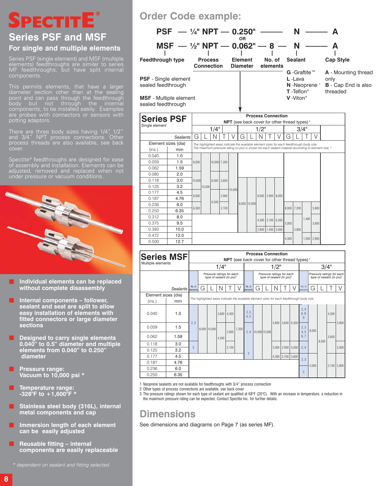### **® PECTITE**

## **Series PSF and MSF For single and multiple elements**

Series PSF (single element) and MSF (multiple elements) feedthroughs are similar to series MF feedthroughs, but have split internal components.

This permits elements, that have a larger diameter section other than at the sealing point and can pass through the feedthrough body but not through the internal components, to be installed easily. Examples are probes with connectors or sensors with potting adaptors.

There are three body sizes having 1/4", 1/2" and 3/4" NPT process connections. Other process threads are also available, see back

Spectite® feedthroughs are designed for ease of assembly and installation. Elements can be adjusted, removed and replaced when not



- **Individual elements can be replaced without complete disassembly**
- **Internal components follower, sealant and seat are split to allow easy installation of elements with fitted connectors or large diameter sections**
- **Designed to carry single elements 0.040" to 0.5" diameter and multiple elements from 0.040" to 0.250" diameter**
- **Pressure range: Vacuum to 10,000 psi \***
- **Temperature range: -328°F to +1,600°F \***
- **Stainless steel body (316L), internal metal components and cap**
- **Immersion length of each element can be easily adjusted**
- **Reusable fitting internal components are easily replaceable**

\* dependent on sealant and fitting selected

## **Order Code example:**



| oodioa Toodii ii oagi i |          |        |        |       |               |        |   |                                                                                            |       |               |       |       |       |               |                                                                                                                 |
|-------------------------|----------|--------|--------|-------|---------------|--------|---|--------------------------------------------------------------------------------------------|-------|---------------|-------|-------|-------|---------------|-----------------------------------------------------------------------------------------------------------------|
| <b>Series PSF</b>       |          |        |        |       |               |        |   | <b>Process Connection</b>                                                                  |       |               |       |       |       |               |                                                                                                                 |
| Single element          |          |        |        |       |               |        |   | NPT (see back cover for other thread types) <sup>2</sup>                                   |       |               |       |       |       |               |                                                                                                                 |
|                         |          |        |        | 1/4"  |               |        |   |                                                                                            | 1/2"  |               |       |       | 3/4"  |               |                                                                                                                 |
|                         | Sealants | G      |        | Ν     |               |        | G |                                                                                            |       |               | G     |       |       | V             |                                                                                                                 |
| Element sizes (dia)     |          |        |        |       |               |        |   | The highlighted areas indicate the available element sizes for each feedthrough body size. |       |               |       |       |       |               |                                                                                                                 |
| (ins.)                  | mm       |        |        |       |               |        |   |                                                                                            |       |               |       |       |       |               | The maximum pressure rating (in psi) is shown for each sealant material according to element size. <sup>3</sup> |
| 0.040                   | 1.0      |        |        |       |               |        |   |                                                                                            |       |               |       |       |       |               |                                                                                                                 |
| 0.059                   | 1.5      | 8.000  |        |       | 10,000 7,200  |        |   |                                                                                            |       |               |       |       |       |               |                                                                                                                 |
| 0.062                   | 1.59     |        |        |       |               |        |   |                                                                                            |       |               |       |       |       |               |                                                                                                                 |
| 0.080                   | 2.0      |        |        |       |               |        |   |                                                                                            |       |               |       |       |       |               |                                                                                                                 |
| 0.118                   | 3.0      | 10.000 |        |       | $8.000$ 3.600 |        |   |                                                                                            |       |               |       |       |       |               |                                                                                                                 |
| 0.125                   | 3.2      |        | 10.000 |       |               | 10.000 |   |                                                                                            |       |               |       |       |       |               |                                                                                                                 |
| 0.177                   | 4.5      | 8.000  |        |       | 2.900         |        |   |                                                                                            | 8.000 |               |       |       |       |               |                                                                                                                 |
| 0.187                   | 4.76     |        |        | 6,500 |               |        |   |                                                                                            |       | $2,900$ 8,000 |       |       |       |               |                                                                                                                 |
| 0.236                   | 6.0      | 6,500  |        |       | 2,100         |        |   | 8,000 10,000                                                                               |       |               | 8,000 | 7,200 |       | 5,800         |                                                                                                                 |
| 0.250                   | 6.35     |        |        |       |               |        |   |                                                                                            |       |               |       |       |       |               |                                                                                                                 |
| 0.312                   | 8.0      |        |        |       |               |        |   |                                                                                            | 4.300 | $2,100$ 6.500 |       |       | 1.400 |               |                                                                                                                 |
| 0.375                   | 9.5      |        |        |       |               |        |   |                                                                                            |       |               | 5.000 |       |       | 3.600         |                                                                                                                 |
| 0.393                   | 10.0     |        |        |       |               |        |   |                                                                                            | 2,900 | 1.400 5.000   |       | 5.800 |       |               |                                                                                                                 |
| 0.472                   | 12.0     |        |        |       |               |        |   |                                                                                            |       |               |       |       |       |               |                                                                                                                 |
| 0.500                   | 12.7     |        |        |       |               |        |   |                                                                                            |       |               | 4,300 |       |       | $1,000$ 2,900 |                                                                                                                 |

| <b>Series MSF</b>   |                   |                |   |                                                                                            |       |                                                                 |       |                    |   |               | <b>Process Connection</b>                                          |       |       |                            |       |       |                                                                    |       |
|---------------------|-------------------|----------------|---|--------------------------------------------------------------------------------------------|-------|-----------------------------------------------------------------|-------|--------------------|---|---------------|--------------------------------------------------------------------|-------|-------|----------------------------|-------|-------|--------------------------------------------------------------------|-------|
| Multiple elements   |                   |                |   |                                                                                            |       | <b>NPT</b> (see back cover for other thread types) <sup>2</sup> |       |                    |   |               |                                                                    |       |       |                            |       |       |                                                                    |       |
|                     |                   |                |   |                                                                                            | 1/4"  |                                                                 |       |                    |   |               | 1/2"                                                               |       |       |                            |       |       | 3/4"                                                               |       |
|                     |                   |                |   | Pressure ratings for each<br>type of sealant (in psi) <sup>3</sup>                         |       |                                                                 |       |                    |   |               | Pressure ratings for each<br>type of sealant (in psi) <sup>3</sup> |       |       |                            |       |       | Pressure ratings for each<br>type of sealant (in psi) <sup>3</sup> |       |
|                     | Sealants elements | No. of         | G |                                                                                            |       |                                                                 |       | No. of<br>elements | G |               |                                                                    |       |       | No. of<br>elements         | G     |       |                                                                    |       |
| Element sizes (dia) |                   |                |   |                                                                                            |       |                                                                 |       |                    |   |               |                                                                    |       |       |                            |       |       |                                                                    |       |
| (ins.)              | mm                |                |   | The highlighted areas indicate the available element sizes for each feedthrough body size. |       |                                                                 |       |                    |   |               |                                                                    |       |       |                            |       |       |                                                                    |       |
| 0.040               | 1.0               |                |   |                                                                                            | 3,600 | 4.300                                                           |       | 2, 3<br>4.5        |   |               |                                                                    |       |       | 2.4<br>6.8<br>$\mathbf{q}$ |       |       | 4.300                                                              |       |
| 0.059               | 1.5               | 2.3            |   | 8.000 10.000                                                                               |       | 2.900                                                           | 7.200 | 2.4                |   | 10,000 10,000 | 5.800                                                              | 3.600 | 6.500 | 2, 3<br>4.5                | 8.000 |       |                                                                    | 5.800 |
| 0.062               | 1.59              |                |   |                                                                                            | 4,300 |                                                                 |       |                    |   |               |                                                                    |       |       | 6.7                        |       | 8.000 | 3.600                                                              |       |
| 0.118               | 3.0               | $\overline{2}$ |   |                                                                                            |       | 2.100                                                           |       |                    |   |               | 5.000                                                              | 2.900 | 5.000 | 2.4                        |       |       |                                                                    | 5.000 |
| 0.125               | 3.2               |                |   |                                                                                            |       |                                                                 |       | $\overline{2}$     |   |               |                                                                    |       |       |                            |       |       |                                                                    |       |
| 0.177               | 4.5               |                |   |                                                                                            |       |                                                                 |       |                    |   |               | 4,300                                                              | 2,100 | 3,600 | 2.3                        |       |       |                                                                    |       |
| 0.187               | 4.76              |                |   |                                                                                            |       |                                                                 |       |                    |   |               |                                                                    |       |       |                            | 5.000 |       | 2,100                                                              | 5,800 |
| 0.236               | 6.0               |                |   |                                                                                            |       |                                                                 |       |                    |   |               |                                                                    |       |       | $\mathfrak{p}$             |       |       |                                                                    |       |
| 0.250               | 6.35              |                |   |                                                                                            |       |                                                                 |       |                    |   |               |                                                                    |       |       |                            |       |       |                                                                    |       |

1 Neoprene sealants are not available for feedthroughs with 3/4" process connection

2 Other types of process connections are available, see back cover

3 The pressure ratings shown for each type of sealant are qualified at 68°F (20°C). With an increase in temperature, a reduction in the maximum pressure rating can be expected. Contact Spectite Inc. for further details.

**Dimensions**

See dimensions and diagrams on Page 7 (as series MF).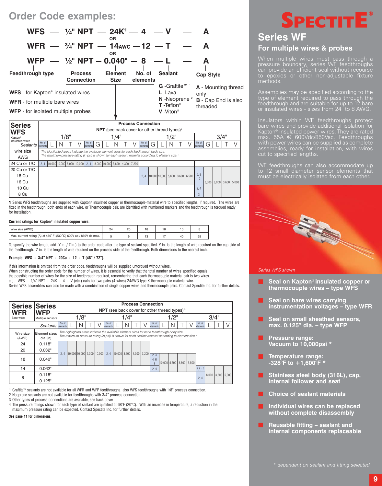### **Order Code examples:**



| <b>Series</b>                        |        |                                                                        |     |                    |   |      | <b>Process Connection</b>                                                                            |        |                                 |      |  |                    |       |                   |  |
|--------------------------------------|--------|------------------------------------------------------------------------|-----|--------------------|---|------|------------------------------------------------------------------------------------------------------|--------|---------------------------------|------|--|--------------------|-------|-------------------|--|
| <b>WFS</b>                           |        |                                                                        |     |                    |   |      | <b>NPT</b> (see back cover for other thread types) $3$                                               |        |                                 |      |  |                    |       |                   |  |
| Kapton®                              |        |                                                                        | /8" |                    |   | 1/4" |                                                                                                      |        |                                 | 1/2" |  |                    |       | 3/4"              |  |
| insulated wires<br>Sealants elements | No. of |                                                                        |     | No. of<br>elements | G |      |                                                                                                      | No. of | G                               |      |  | No. of<br>elements | G     |                   |  |
| wire size                            |        |                                                                        |     |                    |   |      | The highlighted areas indicate the available element sizes for each feedthrough body size.           |        |                                 |      |  |                    |       |                   |  |
| <b>AWG</b>                           |        |                                                                        |     |                    |   |      | The maximum pressure rating (in psi) is shown for each sealant material according to element size. 4 |        |                                 |      |  |                    |       |                   |  |
| 24 Cu or T/C                         | 2.4    | $\begin{bmatrix} 10,000 & 10,000 & 5,000 & 10,000 & 2,4 \end{bmatrix}$ |     |                    |   |      | 8,000 10,000 3,600 4,300 7,200                                                                       |        |                                 |      |  |                    |       |                   |  |
| 20 Cu or T/C                         |        |                                                                        |     |                    |   |      |                                                                                                      |        |                                 |      |  |                    |       |                   |  |
| 18 Cu                                |        |                                                                        |     |                    |   |      |                                                                                                      | 2.4    | 10.000 10.000 5.800 3.600 6.500 |      |  | 6, 8<br>$12^{12}$  |       |                   |  |
| 16 Cu                                |        |                                                                        |     |                    |   |      |                                                                                                      |        |                                 |      |  |                    | 8.000 | 8.000 3.600 5.000 |  |
| 10 Cu                                |        |                                                                        |     |                    |   |      |                                                                                                      |        |                                 |      |  | 2, 4               |       |                   |  |
| 8 Cu                                 |        |                                                                        |     |                    |   |      |                                                                                                      |        |                                 |      |  | $\mathcal{E}$      |       |                   |  |

¶ Series WFS feedthroughs are supplied with Kapton® insulated copper or thermocouple-material wire to specified lengths, if required. The wires are fitted in the feedthrough, both ends of each wire, or Thermocouple pair, are identified with numbered markers and the feedthrough is torqued ready for installation.

#### **Current ratings for Kapton**® **insulated copper wire:**

| Wire size (AWG)                                                 | 24 |  |    |  |
|-----------------------------------------------------------------|----|--|----|--|
| Max. current rating (A) at 450°F (230°C) 600V ac / 850V dc max. |    |  | 41 |  |

To specify the wire length, add (Y in. / Z in.) to the order code after the type of sealant specified. Y in. is the length of wire required on the cap side of the feedthrough. Z in. is the length of wire required on the process side of the feedthrough. Both dimensions to the nearest inch.

#### **Example: WFS - 3/4" NPT - 20Cu - 12 - T (48" / 72").**

If this information is omitted from the order code, feedthroughs will be supplied untorqued without wires. When constructing the order code for the number of wires, it is essential to verify that the total number of wires specified equals the possible number of wires for the size of feedthrough required, remembering that each thermocouple material pair is two wires. e.g., WFS - 1/4" NPT - 24K - 4 - V (etc.) calls for two pairs (4 wires) 24AWG type K thermocouple material wire. Series WFS assemblies can also be made with a combination of single copper wires and thermocouple pairs. Contact Spectite Inc. for further details.

| <b>Series Series</b><br><b>WFR</b> | <b>WFP</b>                |                    |                                                                                                                                                                                                               |      |  |                    | <b>Process Connection</b>  |  |                             | <b>NPT</b> (see back cover for other thread types) <sup>3</sup> |      |               |                    |                   |  |
|------------------------------------|---------------------------|--------------------|---------------------------------------------------------------------------------------------------------------------------------------------------------------------------------------------------------------|------|--|--------------------|----------------------------|--|-----------------------------|-----------------------------------------------------------------|------|---------------|--------------------|-------------------|--|
| Bare wires                         | Multiple sensors          |                    |                                                                                                                                                                                                               | 1/8" |  |                    | 1/4"                       |  |                             |                                                                 | 1/2" |               |                    | 3/4"              |  |
|                                    | Sealants                  | No. of<br>elements |                                                                                                                                                                                                               |      |  | No. of<br>elements |                            |  | No. of<br>lelements         |                                                                 |      |               | No. of<br>elements |                   |  |
| Wire size<br>(AWG)                 | Element sizes<br>dia (in) |                    | The highlighted areas indicate the available element sizes for each feedthrough body size.<br>The maximum pressure rating (in psi) is shown for each sealant material according to element size. <sup>4</sup> |      |  |                    |                            |  |                             |                                                                 |      |               |                    |                   |  |
| 24                                 | 0.118"                    |                    |                                                                                                                                                                                                               |      |  |                    |                            |  |                             |                                                                 |      |               |                    |                   |  |
| 20                                 | 0.032"                    |                    |                                                                                                                                                                                                               |      |  |                    |                            |  |                             |                                                                 |      |               |                    |                   |  |
| 18                                 | 0.040"                    | 2.4                | 10,000 10,000 5,000 10,000                                                                                                                                                                                    |      |  | 2.4                | $10,000$ 3,600 4,300 7,200 |  | 2, 3<br>4.6<br>$\mathbf{R}$ | 10,000 5,800                                                    |      | $3,600$ 6,500 |                    |                   |  |
| 14                                 | 0.062"                    |                    |                                                                                                                                                                                                               |      |  |                    |                            |  | 2, 4                        |                                                                 |      |               | 6,8,12             |                   |  |
|                                    | 0.118"                    |                    |                                                                                                                                                                                                               |      |  |                    |                            |  |                             |                                                                 |      |               |                    | 8,000 3,600 5,000 |  |
|                                    | 8<br>0.125"               |                    |                                                                                                                                                                                                               |      |  |                    |                            |  |                             |                                                                 |      |               | 2.4                |                   |  |

1 Graftite™ sealants are not available for all WFR and WFP feedthroughs, also WFS feedthroughs with 1/8" process connection.

2 Neoprene sealants are not available for feedthroughs with 3/4" process connection

3 Other types of process connections are available, see back cover

4 The pressure ratings shown for each type of sealant are qualified at 68°F (20°C). With an increase in temperature, a reduction in the maximum pressure rating can be expected. Contact Spectite Inc. for further details.

**See page 11 for dimensions.**

# **® SPECTITE**

### **Series WF For multiple wires & probes**

When multiple wires must pass through a pressure boundary, series WF feedthroughs can provide an efficient seal without recourse to epoxies or other non-adjustable fixture methods.

Assemblies may be specified according to the type of element required to pass through the feedthrough and are suitable for up to 12 bare or insulated wires - sizes from 24 to 8 AWG.

Insulators within WF feedthroughs protect bare wires and provide additional isolation for Kapton® insulated power wires. They are rated max. 55A @ 600Vdc/850Vac. Feedthroughs with power wires can be supplied as complete assemblies, ready for installation, with wires cut to specified lengths.

WF feedthroughs can also accommodate up to 12 small diameter sensor elements that must be electrically isolated from each other.



#### Series WFS shown

- **Seal on Kapton**® **insulated copper or thermocouple wires – type WFS**
- **Seal on bare wires carrying instrumentation voltages – type WFR**
- **Seal on small sheathed sensors, max. 0.125" dia. – type WFP**
- **Pressure range: Vacuum to 10,000psi \***
- **Temperature range: -328°F to +1,600°F \***
- **Stainless steel body (316L), cap, internal follower and seat**
- **Choice of sealant materials**
- **Individual wires can be replaced without complete disassembly**
- **Reusable fitting sealant and internal components replaceable**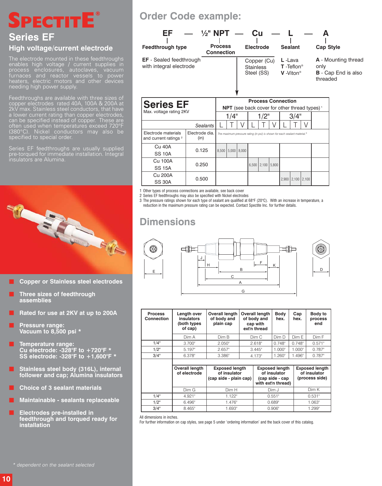# **® SPECTITE**

### **Series EF High voltage/current electrode**

The electrode mounted in these feedthroughs enables high voltage / current supplies in process enclosures, autoclaves, vacuum furnaces and reactor vessels to power heaters, electric motors and other devices needing high power supply.

Feedthroughs are available with three sizes of copper electrodes rated 40A, 100A & 200A at 2kV max. Stainless steel conductors, that have a lower current rating than copper electrodes, can be specified instead of copper. These are often used when temperatures exceed 720°F (380°C). Nickel conductors may also be specified to special order.

Series EF feedthroughs are usually supplied pre-torqued for immediate installation. Integral insulators are Alumina.



- **Copper or Stainless steel electrodes**
- **Three sizes of feedthrough assemblies**
- **Rated for use at 2KV at up to 200A**
- **Pressure range: Vacuum to 8,500 psi \***
- **Temperature range: Cu electrode: -328°F to +720°F \* SS electrode: -328°F to +1,600°F \***
- **Stainless steel body (316L), internal follower and cap; Alumina insulators**
- **Choice of 3 sealant materials**
- **Maintainable sealants replaceable**
- **Electrodes pre-installed in feedthrough and torqued ready for installation**

## **Order Code example:**



1 Other types of process connections are available, see back cover

2 Series EF feedthroughs may also be specified with Nickel electrodes

0.500

3 The pressure ratings shown for each type of sealant are qualified at 68°F (20°C). With an increase in temperature, a

reduction in the maximum pressure rating can be expected. Contact Spectite Inc. for further details.

## **Dimensions**

Cu 200A SS 30A





2,900 2,100 2,100

| <b>Process</b><br><b>Connection</b> | Length over<br>insulators<br>(both types<br>of cap) | <b>Overall length</b><br>of body and<br>plain cap               | <b>Overall length</b><br>of body and<br>cap with<br>ext'n thread | <b>Body</b><br>hex.                                                            | Cap<br>hex. | Body to<br>process<br>end                               |
|-------------------------------------|-----------------------------------------------------|-----------------------------------------------------------------|------------------------------------------------------------------|--------------------------------------------------------------------------------|-------------|---------------------------------------------------------|
|                                     | Dim A                                               | Dim B                                                           | Dim C                                                            | Dim D                                                                          | Dim E       | Dim F                                                   |
| 1/4"                                | 3.700"                                              | 2.050"                                                          | 2.618"                                                           | $0.748$ "                                                                      | 0.748"      | 0.571"                                                  |
| 1/2"                                | 5.197"                                              | 2.657"                                                          | 3.445"                                                           | 1.000"                                                                         | 1.000"      | $0.787$ "                                               |
| 3/4"                                | 6.378"                                              | $3.386$ "                                                       | 4.173"                                                           | $1.260$ "                                                                      | 1.496"      | $0.787$ "                                               |
|                                     |                                                     |                                                                 |                                                                  |                                                                                |             |                                                         |
|                                     | <b>Overall length</b><br>of electrode               | <b>Exposed length</b><br>of insulator<br>(cap side - plain cap) |                                                                  | <b>Exposed length</b><br>of insulator<br>(cap side - cap<br>with ext'n thread) |             | <b>Exposed length</b><br>of insulator<br>(process side) |
|                                     | Dim G                                               | Dim H                                                           |                                                                  | Dim J                                                                          |             | Dim K                                                   |
| 1/4"                                | 4.921"                                              | 1.122"                                                          |                                                                  | 0.551"                                                                         |             | 0.531"                                                  |
| 1/2"                                | $6.496$ "                                           | 1.476"                                                          |                                                                  | 0.689"                                                                         |             | 1.063"                                                  |
| 3/4"                                | 8.465"                                              | 1.693"                                                          |                                                                  | 0.906"                                                                         |             | 1.299"                                                  |

All dimensions in inches.

For further information on cap styles, see page 5 under 'ordering information' and the back cover of this catalog.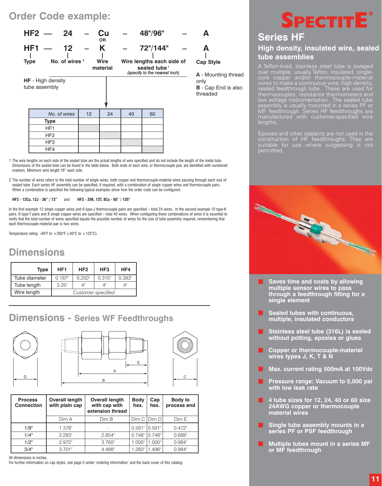### **Order Code example:**



- 1 The wire lengths on each side of the sealed tube are the actual lengths of wire specified and do not include the length of the metal tube. Dimensions of the sealed tube can be found in the table below. Both ends of each wire, or thermocouple pair, are identified with numbered markers. Minimum wire length 18" each side.
- 2 The number of wires refers to the total number of single wires, both copper and thermocouple-material wires passing through each size of sealed tube. Each series HF assembly can be specified, if required, with a combination of single copper wires and thermocouple pairs. When a combination is specified the following typical examples show how the order code can be configured:

#### **HF2 - 12Cu, 12J - 36" / 72"** and **HF3 - 20K, 12T, 8Cu - 60" / 120"**

In the first example 12 single copper wires and 6 type-J thermocouple pairs are specified – total 24 wires. In the second example 10 type-K pairs, 6 type-T pairs and 8 single copper wires are specified – total 40 wires. When configuring these combinations of wires it is essential to verify that the total number of wires specified equals the possible number of wires for the size of tube assembly required, remembering that each thermocouple-material pair is two wires.

Temperature rating: -40°F to  $+260$ °F (-40°C to  $+125$ °C).

### **Dimensions**

| <b>Type</b>   | HF <sub>1</sub>    | HF <sub>2</sub> | HF <sub>3</sub> | HF4    |  |  |  |  |  |  |
|---------------|--------------------|-----------------|-----------------|--------|--|--|--|--|--|--|
| Tube diameter | 0.187"             | 0.250"          | 0.315"          | 0.393" |  |  |  |  |  |  |
| Tube length   | 3.25"              | Δ"              |                 | ΛIΙ    |  |  |  |  |  |  |
| Wire length   | Customer specified |                 |                 |        |  |  |  |  |  |  |

### **Dimensions - Series WF Feedthroughs**



| <b>Process</b><br><b>Connection</b> | <b>Overall length</b><br>with plain cap | <b>Overall length</b><br>with cap with<br>extension thread | <b>Body</b><br>hex. | Cap<br>hex. | Body to<br>process end |
|-------------------------------------|-----------------------------------------|------------------------------------------------------------|---------------------|-------------|------------------------|
|                                     | Dim A                                   | Dim B                                                      | Dim C               | Dim D       | Dim E                  |
| 1/8"                                | 1.378"                                  |                                                            | 0.591"              | 10.591"     | 0.472"                 |
| 1/4"                                | 2.283"                                  | 2.854"                                                     | $0.748$ "           | $0.748$ "   | 0.689"                 |
| 1/2"                                | 2.972"                                  | $3.760$ "                                                  | 1.000"              | 1.000"      | $0.984$ "              |
| 3/4"                                | 3.701"                                  | 4.488"                                                     | $1.260$ "           | .496"       | $0.984$ "              |

All dimensions in inches.

For further information on cap styles, see page 5 under 'ordering information' and the back cover of this catalog.

# **® SPECTITE**

### **Series HF High density, insulated wire, sealed tube assemblies**

A Teflon-lined, stainless steel tube is swaged over multiple, usually Teflon, insulated, singlecore copper and/or thermocouple-material wires to make a continuous wire, high-density, sealed feedthrough tube. These are used for thermocouples, resistance thermometers and low voltage instrumentation. The sealed tube assembly is usually mounted in a series PF or MF feedthrough. Series HF feedthroughs are manufactured with customer-specified wire lengths.

Epoxies and other sealants are not used in the construction of HF feedthroughs. They are suitable for use where outgassing is not permitted.



- **Saves time and costs by allowing multiple sensor wires to pass through a feedthrough fitting for a single element**
- **Sealed tubes with continuous, multiple, insulated conductors**
- **Stainless steel tube (316L) is sealed without potting, epoxies or glues**
- **Copper or thermocouple-material wires types J, K, T & N**
- **Max. current rating 500mA at 100Vdc**
- **Pressure range: Vacuum to 5,000 psi with low leak rate**
- **4 tube sizes for 12, 24, 40 or 60 size 24AWG copper or thermocouple material wires**
- **Single tube assembly mounts in a series PF or PSF feedthrough**
- **Multiple tubes mount in a series MF or MF feedthrough**